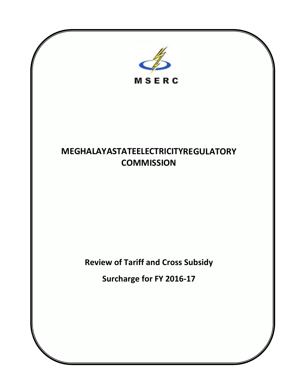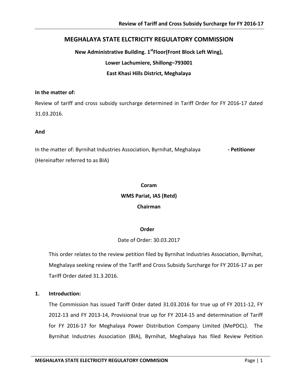# **MEGHALAYA STATE ELCTRICITY REGULATORY COMMISSION**

**New Administrative Building. 1st Floor(Front Block Left Wing), Lower Lachumiere, Shillong–793001 East Khasi Hills District, Meghalaya**

### **In the matter of:**

Review of tariff and cross subsidy surcharge determined in Tariff Order for FY 2016-17 dated 31.03.2016.

### **And**

In the matter of: Byrnihat Industries Association, Byrnihat, Meghalaya **- Petitioner** (Hereinafter referred to as BIA)

# **Coram WMS Pariat, IAS (Retd) Chairman**

## **Order**

# Date of Order: 30.03.2017

This order relates to the review petition filed by Byrnihat Industries Association, Byrnihat, Meghalaya seeking review of the Tariff and Cross Subsidy Surcharge for FY 2016-17 as per Tariff Order dated 31.3.2016.

## **1. Introduction:**

The Commission has issued Tariff Order dated 31.03.2016 for true up of FY 2011-12, FY 2012-13 and FY 2013-14, Provisional true up for FY 2014-15 and determination of Tariff for FY 2016-17 for Meghalaya Power Distribution Company Limited (MePDCL). The Byrnihat Industries Association (BIA), Byrnihat, Meghalaya has filed Review Petition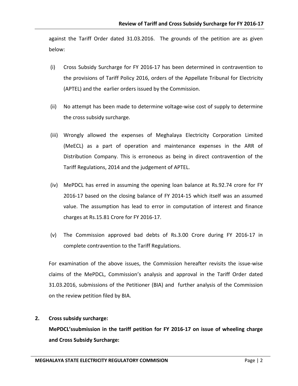against the Tariff Order dated 31.03.2016. The grounds of the petition are as given below:

- (i) Cross Subsidy Surcharge for FY 2016-17 has been determined in contravention to the provisions of Tariff Policy 2016, orders of the Appellate Tribunal for Electricity (APTEL) and the earlier orders issued by the Commission.
- (ii) No attempt has been made to determine voltage-wise cost of supply to determine the cross subsidy surcharge.
- (iii) Wrongly allowed the expenses of Meghalaya Electricity Corporation Limited (MeECL) as a part of operation and maintenance expenses in the ARR of Distribution Company. This is erroneous as being in direct contravention of the Tariff Regulations, 2014 and the judgement of APTEL.
- (iv) MePDCL has erred in assuming the opening loan balance at Rs.92.74 crore for FY 2016-17 based on the closing balance of FY 2014-15 which itself was an assumed value. The assumption has lead to error in computation of interest and finance charges at Rs.15.81 Crore for FY 2016-17.
- (v) The Commission approved bad debts of Rs.3.00 Crore during FY 2016-17 in complete contravention to the Tariff Regulations.

For examination of the above issues, the Commission hereafter revisits the issue-wise claims of the MePDCL, Commission's analysis and approval in the Tariff Order dated 31.03.2016, submissions of the Petitioner (BIA) and further analysis of the Commission on the review petition filed by BIA.

# **2. Cross subsidy surcharge:**

**MePDCL'ssubmission in the tariff petition for FY 2016-17 on issue of wheeling charge and Cross Subsidy Surcharge:**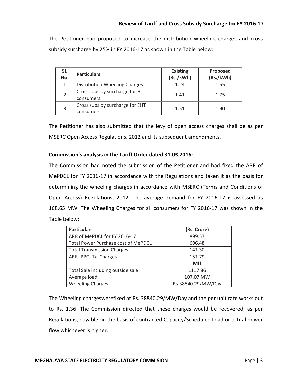The Petitioner had proposed to increase the distribution wheeling charges and cross subsidy surcharge by 25% in FY 2016-17 as shown in the Table below:

| SI.<br>No. | <b>Particulars</b>                           | <b>Existing</b><br>(Rs./kWh) | Proposed<br>(Rs./kWh) |
|------------|----------------------------------------------|------------------------------|-----------------------|
|            | Distribution Wheeling Charges                | 1.24                         | 1.55                  |
|            | Cross subsidy surcharge for HT<br>consumers  | 1.41                         | 1.75                  |
| 3          | Cross subsidy surcharge for EHT<br>consumers | 1.51                         | 1.90                  |

The Petitioner has also submitted that the levy of open access charges shall be as per MSERC Open Access Regulations, 2012 and its subsequent amendments.

## **Commission's analysis in the Tariff Order dated 31.03.2016:**

The Commission had noted the submission of the Petitioner and had fixed the ARR of MePDCL for FY 2016-17 in accordance with the Regulations and taken it as the basis for determining the wheeling charges in accordance with MSERC (Terms and Conditions of Open Access) Regulations, 2012. The average demand for FY 2016-17 is assessed as 168.65 MW. The Wheeling Charges for all consumers for FY 2016-17 was shown in the Table below:

| <b>Particulars</b>                         | (Rs. Crore)        |  |
|--------------------------------------------|--------------------|--|
| ARR of MePDCL for FY 2016-17               | 899.57             |  |
| <b>Total Power Purchase cost of MePDCL</b> | 606.48             |  |
| <b>Total Transmission Charges</b>          | 141.30             |  |
| ARR- PPC- Tx. Charges                      | 151.79             |  |
|                                            | <b>MU</b>          |  |
| Total Sale including outside sale          | 1117.86            |  |
| Average load                               | 107.07 MW          |  |
| <b>Wheeling Charges</b>                    | Rs.38840.29/MW/Day |  |

The Wheeling chargeswerefixed at Rs. 38840.29/MW/Day and the per unit rate works out to Rs. 1.36. The Commission directed that these charges would be recovered, as per Regulations, payable on the basis of contracted Capacity/Scheduled Load or actual power flow whichever is higher.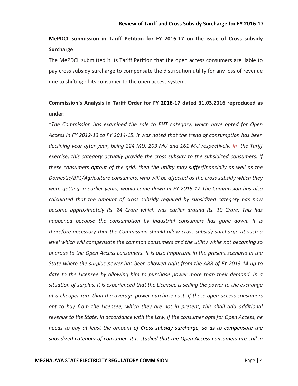# **MePDCL submission in Tariff Petition for FY 2016-17 on the issue of Cross subsidy Surcharge**

The MePDCL submitted it its Tariff Petition that the open access consumers are liable to pay cross subsidy surcharge to compensate the distribution utility for any loss of revenue due to shifting of its consumer to the open access system.

# **Commission's Analysis in Tariff Order for FY 2016-17 dated 31.03.2016 reproduced as under:**

*"The Commission has examined the sale to EHT category, which have opted for Open Access in FY 2012-13 to FY 2014-15. It was noted that the trend of consumption has been declining year after year, being 224 MU, 203 MU and 161 MU respectively. In the Tariff exercise, this category actually provide the cross subsidy to the subsidized consumers. If these consumers optout of the grid, then the utility may sufferfinancially as well as the Domestic/BPL/Agriculture consumers, who will be affected as the cross subsidy which they were getting in earlier years, would come down in FY 2016-17 The Commission has also calculated that the amount of cross subsidy required by subsidized category has now become approximately Rs. 24 Crore which was earlier around Rs. 10 Crore. This has happened because the consumption by Industrial consumers has gone down. It is therefore necessary that the Commission should allow cross subsidy surcharge at such a level which will compensate the common consumers and the utility while not becoming so onerous to the Open Access consumers. It is also important in the present scenario in the State where the surplus power has been allowed right from the ARR of FY 2013-14 up to date to the Licensee by allowing him to purchase power more than their demand. In a situation of surplus, it is experienced that the Licensee is selling the power to the exchange at a cheaper rate than the average power purchase cost. If these open access consumers opt to buy from the Licensee, which they are not in present, this shall add additional revenue to the State. In accordance with the Law, if the consumer opts for Open Access, he needs to pay at least the amount of Cross subsidy surcharge, so as to compensate the subsidized category of consumer. It is studied that the Open Access consumers are still in*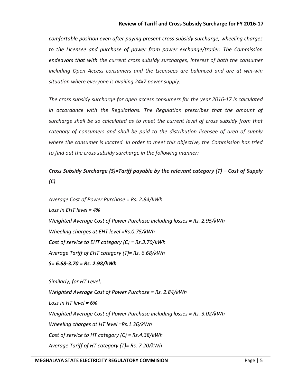*comfortable position even after paying present cross subsidy surcharge, wheeling charges to the Licensee and purchase of power from power exchange/trader. The Commission endeavors that with the current cross subsidy surcharges, interest of both the consumer including Open Access consumers and the Licensees are balanced and are at win-win situation where everyone is availing 24x7 power supply.*

*The cross subsidy surcharge for open access consumers for the year 2016-17 is calculated in accordance with the Regulations. The Regulation prescribes that the amount of surcharge shall be so calculated as to meet the current level of cross subsidy from that category of consumers and shall be paid to the distribution licensee of area of supply where the consumer is located. In order to meet this objective, the Commission has tried to find out the cross subsidy surcharge in the following manner:* 

# *Cross Subsidy Surcharge (S)=Tariff payable by the relevant category (T) – Cost of Supply (C)*

*Average Cost of Power Purchase = Rs. 2.84/kWh Loss in EHT level = 4% Weighted Average Cost of Power Purchase including losses = Rs. 2.95/kWh Wheeling charges at EHT level =Rs.0.75/kWh Cost of service to EHT category (C) = Rs.3.70/kWh Average Tariff of EHT category (T)= Rs. 6.68/kWh S= 6.68-3.70 = Rs. 2.98/kWh* 

*Similarly, for HT Level, Weighted Average Cost of Power Purchase = Rs. 2.84/kWh Loss in HT level = 6% Weighted Average Cost of Power Purchase including losses = Rs. 3.02/kWh Wheeling charges at HT level =Rs.1.36/kWh Cost of service to HT category (C) = Rs.4.38/kWh Average Tariff of HT category (T)= Rs. 7.20/kWh*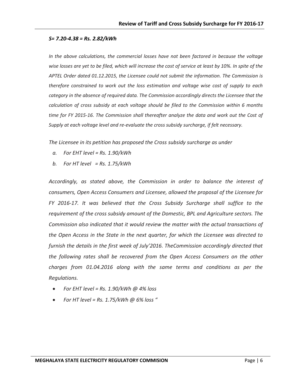#### *S= 7.20-4.38 = Rs. 2.82/kWh*

*In the above calculations, the commercial losses have not been factored in because the voltage wise losses are yet to be filed, which will increase the cost of service at least by 10%. In spite of the APTEL Order dated 01.12.2015, the Licensee could not submit the information. The Commission is therefore constrained to work out the loss estimation and voltage wise cost of supply to each category in the absence of required data. The Commission accordingly directs the Licensee that the calculation of cross subsidy at each voltage should be filed to the Commission within 6 months time for FY 2015-16. The Commission shall thereafter analyze the data and work out the Cost of Supply at each voltage level and re-evaluate the cross subsidy surcharge, if felt necessary.* 

*The Licensee in its petition has proposed the Cross subsidy surcharge as under* 

- *a. For EHT level = Rs. 1.90/kWh*
- *b. For HT level = Rs. 1.75/kWh*

*Accordingly, as stated above, the Commission in order to balance the interest of consumers, Open Access Consumers and Licensee, allowed the proposal of the Licensee for FY 2016-17. It was believed that the Cross Subsidy Surcharge shall suffice to the requirement of the cross subsidy amount of the Domestic, BPL and Agriculture sectors. The Commission also indicated that it would review the matter with the actual transactions of the Open Access in the State in the next quarter, for which the Licensee was directed to furnish the details in the first week of July'2016. TheCommission accordingly directed that the following rates shall be recovered from the Open Access Consumers on the other charges from 01.04.2016 along with the same terms and conditions as per the Regulations.* 

- *For EHT level = Rs. 1.90/kWh @ 4% loss*
- *For HT level = Rs. 1.75/kWh @ 6% loss "*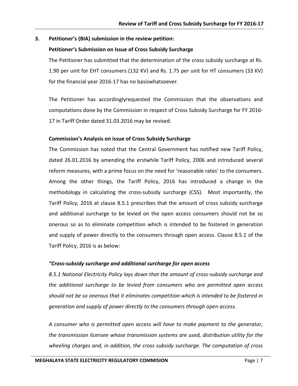## **3. Petitioner's (BIA) submission in the review petition:**

## **Petitioner's Submission on Issue of Cross Subsidy Surcharge**

The Petitioner has submitted that the determination of the cross subsidy surcharge at Rs. 1.90 per unit for EHT consumers (132 KV) and Rs. 1.75 per unit for HT consumers (33 KV) for the financial year 2016-17 has no basiswhatsoever.

The Petitioner has accordinglyrequested the Commission that the observations and computations done by the Commission in respect of Cross Subsidy Surcharge for FY 2016- 17 in Tariff Order dated 31.03.2016 may be revised.

## **Commission's Analysis on issue of Cross Subsidy Surcharge**

The Commission has noted that the Central Government has notified new Tariff Policy, dated 26.01.2016 by amending the erstwhile Tariff Policy, 2006 and introduced several reform measures, with a prime focus on the need for 'reasonable rates' to the consumers. Among the other things, the Tariff Policy, 2016 has introduced a change in the methodology in calculating the cross-subsidy surcharge (CSS). Most importantly, the Tariff Policy, 2016 at clause 8.5.1 prescribes that the amount of cross subsidy surcharge and additional surcharge to be levied on the open access consumers should not be so onerous so as to eliminate competition which is intended to be fostered in generation and supply of power directly to the consumers through open access. Clause 8.5.1 of the Tariff Policy, 2016 is as below:

## *"Cross-subsidy surcharge and additional surcharge for open access*

*8.5.1 National Electricity Policy lays down that the amount of cross-subsidy surcharge and the additional surcharge to be levied from consumers who are permitted open access should not be so onerous that it eliminates competition which is intended to be fostered in generation and supply of power directly to the consumers through open access.*

*A consumer who is permitted open access will have to make payment to the generator, the transmission licensee whose transmission systems are used, distribution utility for the wheeling charges and, in addition, the cross subsidy surcharge. The computation of cross*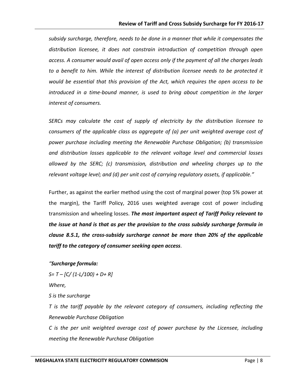*subsidy surcharge, therefore, needs to be done in a manner that while it compensates the distribution licensee, it does not constrain introduction of competition through open access. A consumer would avail of open access only if the payment of all the charges leads to a benefit to him. While the interest of distribution licensee needs to be protected it would be essential that this provision of the Act, which requires the open access to be introduced in a time-bound manner, is used to bring about competition in the larger interest of consumers.*

*SERCs may calculate the cost of supply of electricity by the distribution licensee to consumers of the applicable class as aggregate of (a) per unit weighted average cost of power purchase including meeting the Renewable Purchase Obligation; (b) transmission and distribution losses applicable to the relevant voltage level and commercial losses allowed by the SERC; (c) transmission, distribution and wheeling charges up to the relevant voltage level; and (d) per unit cost of carrying regulatory assets, if applicable."*

Further, as against the earlier method using the cost of marginal power (top 5% power at the margin), the Tariff Policy, 2016 uses weighted average cost of power including transmission and wheeling losses. *The most important aspect of Tariff Policy relevant to the issue at hand is that as per the provision to the cross subsidy surcharge formula in clause 8.5.1, the cross-subsidy surcharge cannot be more than 20% of the applicable tariff to the category of consumer seeking open access*.

## *"Surcharge formula:*

*S= T – [C/ (1-L/100) + D+ R]* 

*Where,* 

*S is the surcharge*

*T is the tariff payable by the relevant category of consumers, including reflecting the Renewable Purchase Obligation*

*C is the per unit weighted average cost of power purchase by the Licensee, including meeting the Renewable Purchase Obligation*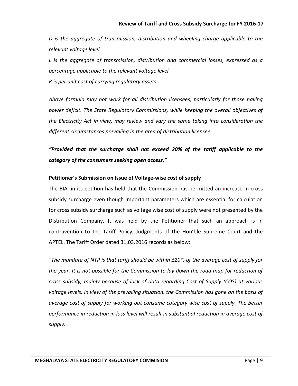*D is the aggregate of transmission, distribution and wheeling charge applicable to the relevant voltage level*

*L is the aggregate of transmission, distribution and commercial losses, expressed as a percentage applicable to the relevant voltage level*

*R is per unit cost of carrying regulatory assets.*

*Above formula may not work for all distribution licensees, particularly for those having power deficit. The State Regulatory Commissions, while keeping the overall objectives of the Electricity Act in view, may review and vary the same taking into consideration the different circumstances prevailing in the area of distribution licensee.*

*"Provided that the surcharge shall not exceed 20% of the tariff applicable to the category of the consumers seeking open access."*

## **Petitioner's Submission on Issue of Voltage-wise cost of supply**

The BIA, in its petition has held that the Commission has permitted an increase in cross subsidy surcharge even though important parameters which are essential for calculation for cross subsidy surcharge such as voltage wise cost of supply were not presented by the Distribution Company. It was held by the Petitioner that such an approach is in contravention to the Tariff Policy, Judgments of the Hon'ble Supreme Court and the APTEL. The Tariff Order dated 31.03.2016 records as below:

*"The mandate of NTP is that tariff should be within ±20% of the average cost of supply for the year. It is not possible for the Commission to lay down the road map for reduction of cross subsidy, mainly because of lack of data regarding Cost of Supply (COS) at various voltage levels. In view of the prevailing situation, the Commission has gone on the basis of average cost of supply for working out consume category wise cost of supply. The better performance in reduction in loss level will result in substantial reduction in average cost of supply.*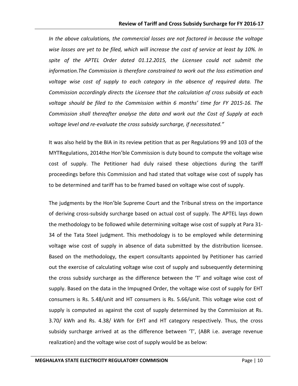*In the above calculations, the commercial losses are not factored in because the voltage wise losses are yet to be filed, which will increase the cost of service at least by 10%. In*  spite of the APTEL Order dated 01.12.2015, the Licensee could not submit the *information.The Commission is therefore constrained to work out the loss estimation and voltage wise cost of supply to each category in the absence of required data. The Commission accordingly directs the Licensee that the calculation of cross subsidy at each voltage should be filed to the Commission within 6 months' time for FY 2015-16. The Commission shall thereafter analyse the data and work out the Cost of Supply at each voltage level and re-evaluate the cross subsidy surcharge, if necessitated."*

It was also held by the BIA in its review petition that as per Regulations 99 and 103 of the MYTRegulations, 2014the Hon'ble Commission is duty bound to compute the voltage wise cost of supply. The Petitioner had duly raised these objections during the tariff proceedings before this Commission and had stated that voltage wise cost of supply has to be determined and tariff has to be framed based on voltage wise cost of supply.

The judgments by the Hon'ble Supreme Court and the Tribunal stress on the importance of deriving cross-subsidy surcharge based on actual cost of supply. The APTEL lays down the methodology to be followed while determining voltage wise cost of supply at Para 31- 34 of the Tata Steel judgment. This methodology is to be employed while determining voltage wise cost of supply in absence of data submitted by the distribution licensee. Based on the methodology, the expert consultants appointed by Petitioner has carried out the exercise of calculating voltage wise cost of supply and subsequently determining the cross subsidy surcharge as the difference between the 'T' and voltage wise cost of supply. Based on the data in the Impugned Order, the voltage wise cost of supply for EHT consumers is Rs. 5.48/unit and HT consumers is Rs. 5.66/unit. This voltage wise cost of supply is computed as against the cost of supply determined by the Commission at Rs. 3.70/ kWh and Rs. 4.38/ kWh for EHT and HT category respectively. Thus, the cross subsidy surcharge arrived at as the difference between 'T', (ABR i.e. average revenue realization) and the voltage wise cost of supply would be as below: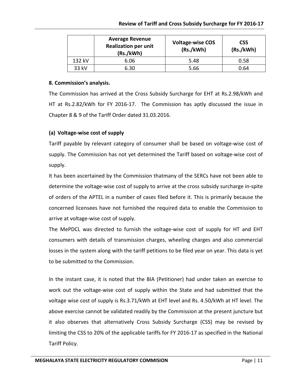|        | <b>Average Revenue</b><br><b>Realization per unit</b><br>(Rs./kWh) | <b>Voltage-wise COS</b><br>(Rs./kWh) | <b>CSS</b><br>(Rs./kWh) |
|--------|--------------------------------------------------------------------|--------------------------------------|-------------------------|
| 132 kV | 6.06                                                               | 5.48                                 | 0.58                    |
| 33 kV  | 6.30                                                               | 5.66                                 | 0.64                    |

## **8. Commission's analysis.**

The Commission has arrived at the Cross Subsidy Surcharge for EHT at Rs.2.98/kWh and HT at Rs.2.82/kWh for FY 2016-17. The Commission has aptly discussed the issue in Chapter 8 & 9 of the Tariff Order dated 31.03.2016.

# **(a) Voltage-wise cost of supply**

Tariff payable by relevant category of consumer shall be based on voltage-wise cost of supply. The Commission has not yet determined the Tariff based on voltage-wise cost of supply.

It has been ascertained by the Commission thatmany of the SERCs have not been able to determine the voltage-wise cost of supply to arrive at the cross subsidy surcharge in-spite of orders of the APTEL in a number of cases filed before it. This is primarily because the concerned licensees have not furnished the required data to enable the Commission to arrive at voltage-wise cost of supply.

The MePDCL was directed to furnish the voltage-wise cost of supply for HT and EHT consumers with details of transmission charges, wheeling charges and also commercial losses in the system along with the tariff petitions to be filed year on year. This data is yet to be submitted to the Commission.

In the instant case, it is noted that the BIA (Petitioner) had under taken an exercise to work out the voltage-wise cost of supply within the State and had submitted that the voltage wise cost of supply is Rs.3.71/kWh at EHT level and Rs. 4.50/kWh at HT level. The above exercise cannot be validated readily by the Commission at the present juncture but it also observes that alternatively Cross Subsidy Surcharge (CSS) may be revised by limiting the CSS to 20% of the applicable tariffs for FY 2016-17 as specified in the National Tariff Policy.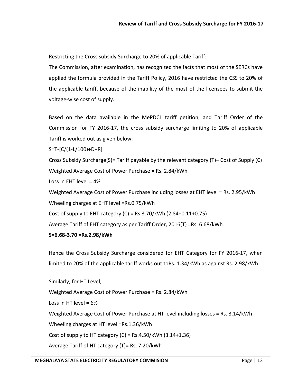Restricting the Cross subsidy Surcharge to 20% of applicable Tariff:-

The Commission, after examination, has recognized the facts that most of the SERCs have applied the formula provided in the Tariff Policy, 2016 have restricted the CSS to 20% of the applicable tariff, because of the inability of the most of the licensees to submit the voltage-wise cost of supply.

Based on the data available in the MePDCL tariff petition, and Tariff Order of the Commission for FY 2016-17, the cross subsidy surcharge limiting to 20% of applicable Tariff is worked out as given below:

S=T-[C/(1-L/100)+D+R]

Cross Subsidy Surcharge(S)= Tariff payable by the relevant category (T)– Cost of Supply (C) Weighted Average Cost of Power Purchase = Rs. 2.84/kWh

Loss in EHT level = 4%

Weighted Average Cost of Power Purchase including losses at EHT level = Rs. 2.95/kWh

Wheeling charges at EHT level =Rs.0.75/kWh

Cost of supply to EHT category  $(C)$  = Rs.3.70/kWh  $(2.84+0.11+0.75)$ 

Average Tariff of EHT category as per Tariff Order, 2016(T) =Rs. 6.68/kWh

## **S=6.68-3.70 =Rs.2.98/kWh**

Hence the Cross Subsidy Surcharge considered for EHT Category for FY 2016-17, when limited to 20% of the applicable tariff works out toRs. 1.34/kWh as against Rs. 2.98/kWh.

Similarly, for HT Level, Weighted Average Cost of Power Purchase = Rs. 2.84/kWh Loss in HT level =  $6\%$ Weighted Average Cost of Power Purchase at HT level including losses = Rs. 3.14/kWh Wheeling charges at HT level =Rs.1.36/kWh Cost of supply to HT category  $(C)$  = Rs.4.50/kWh  $(3.14+1.36)$ Average Tariff of HT category (T)= Rs. 7.20/kWh